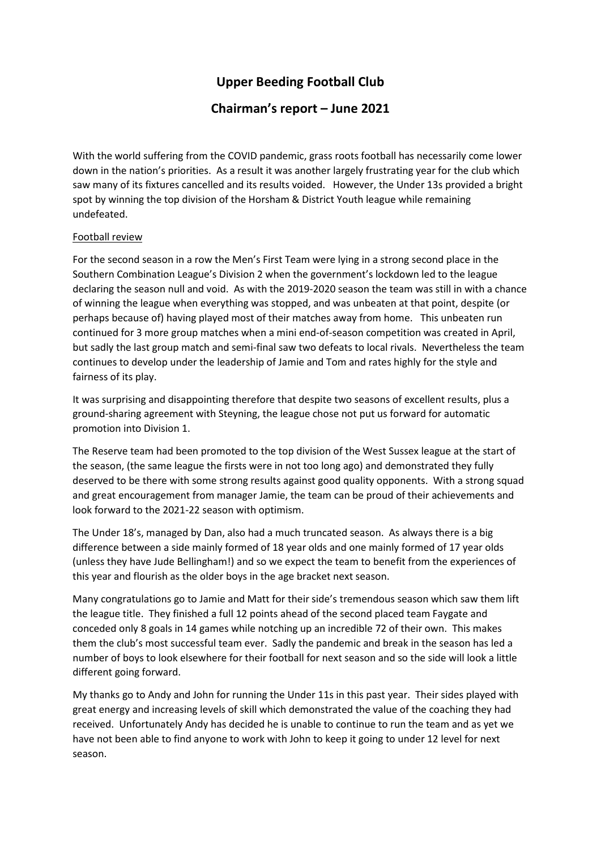# **Upper Beeding Football Club**

## **Chairman's report – June 2021**

With the world suffering from the COVID pandemic, grass roots football has necessarily come lower down in the nation's priorities. As a result it was another largely frustrating year for the club which saw many of its fixtures cancelled and its results voided. However, the Under 13s provided a bright spot by winning the top division of the Horsham & District Youth league while remaining undefeated.

### Football review

For the second season in a row the Men's First Team were lying in a strong second place in the Southern Combination League's Division 2 when the government's lockdown led to the league declaring the season null and void. As with the 2019-2020 season the team was still in with a chance of winning the league when everything was stopped, and was unbeaten at that point, despite (or perhaps because of) having played most of their matches away from home. This unbeaten run continued for 3 more group matches when a mini end-of-season competition was created in April, but sadly the last group match and semi-final saw two defeats to local rivals. Nevertheless the team continues to develop under the leadership of Jamie and Tom and rates highly for the style and fairness of its play.

It was surprising and disappointing therefore that despite two seasons of excellent results, plus a ground-sharing agreement with Steyning, the league chose not put us forward for automatic promotion into Division 1.

The Reserve team had been promoted to the top division of the West Sussex league at the start of the season, (the same league the firsts were in not too long ago) and demonstrated they fully deserved to be there with some strong results against good quality opponents. With a strong squad and great encouragement from manager Jamie, the team can be proud of their achievements and look forward to the 2021-22 season with optimism.

The Under 18's, managed by Dan, also had a much truncated season. As always there is a big difference between a side mainly formed of 18 year olds and one mainly formed of 17 year olds (unless they have Jude Bellingham!) and so we expect the team to benefit from the experiences of this year and flourish as the older boys in the age bracket next season.

Many congratulations go to Jamie and Matt for their side's tremendous season which saw them lift the league title. They finished a full 12 points ahead of the second placed team Faygate and conceded only 8 goals in 14 games while notching up an incredible 72 of their own. This makes them the club's most successful team ever. Sadly the pandemic and break in the season has led a number of boys to look elsewhere for their football for next season and so the side will look a little different going forward.

My thanks go to Andy and John for running the Under 11s in this past year. Their sides played with great energy and increasing levels of skill which demonstrated the value of the coaching they had received. Unfortunately Andy has decided he is unable to continue to run the team and as yet we have not been able to find anyone to work with John to keep it going to under 12 level for next season.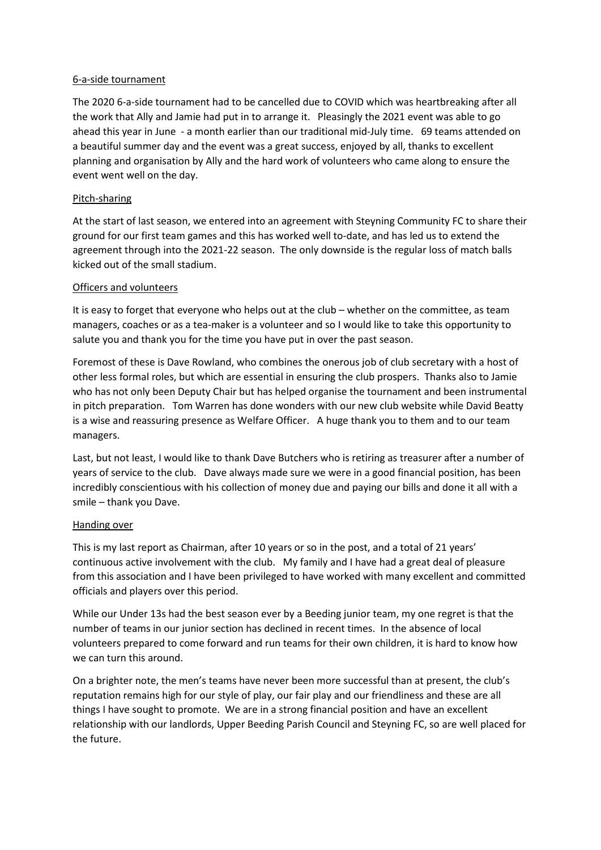#### 6-a-side tournament

The 2020 6-a-side tournament had to be cancelled due to COVID which was heartbreaking after all the work that Ally and Jamie had put in to arrange it. Pleasingly the 2021 event was able to go ahead this year in June - a month earlier than our traditional mid-July time. 69 teams attended on a beautiful summer day and the event was a great success, enjoyed by all, thanks to excellent planning and organisation by Ally and the hard work of volunteers who came along to ensure the event went well on the day.

#### Pitch-sharing

At the start of last season, we entered into an agreement with Steyning Community FC to share their ground for our first team games and this has worked well to-date, and has led us to extend the agreement through into the 2021-22 season. The only downside is the regular loss of match balls kicked out of the small stadium.

#### Officers and volunteers

It is easy to forget that everyone who helps out at the club – whether on the committee, as team managers, coaches or as a tea-maker is a volunteer and so I would like to take this opportunity to salute you and thank you for the time you have put in over the past season.

Foremost of these is Dave Rowland, who combines the onerous job of club secretary with a host of other less formal roles, but which are essential in ensuring the club prospers. Thanks also to Jamie who has not only been Deputy Chair but has helped organise the tournament and been instrumental in pitch preparation. Tom Warren has done wonders with our new club website while David Beatty is a wise and reassuring presence as Welfare Officer. A huge thank you to them and to our team managers.

Last, but not least, I would like to thank Dave Butchers who is retiring as treasurer after a number of years of service to the club. Dave always made sure we were in a good financial position, has been incredibly conscientious with his collection of money due and paying our bills and done it all with a smile – thank you Dave.

#### Handing over

This is my last report as Chairman, after 10 years or so in the post, and a total of 21 years' continuous active involvement with the club. My family and I have had a great deal of pleasure from this association and I have been privileged to have worked with many excellent and committed officials and players over this period.

While our Under 13s had the best season ever by a Beeding junior team, my one regret is that the number of teams in our junior section has declined in recent times. In the absence of local volunteers prepared to come forward and run teams for their own children, it is hard to know how we can turn this around.

On a brighter note, the men's teams have never been more successful than at present, the club's reputation remains high for our style of play, our fair play and our friendliness and these are all things I have sought to promote. We are in a strong financial position and have an excellent relationship with our landlords, Upper Beeding Parish Council and Steyning FC, so are well placed for the future.